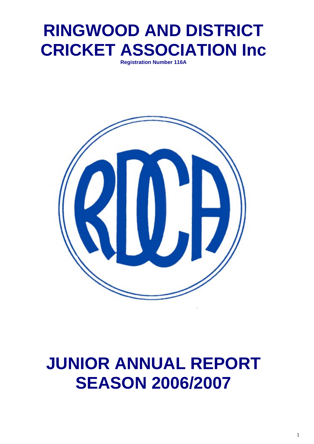## **RINGWOOD AND DISTRICT CRICKET ASSOCIATION Inc**

**Registration Number 116A** 



## **JUNIOR ANNUAL REPORT SEASON 2006/2007**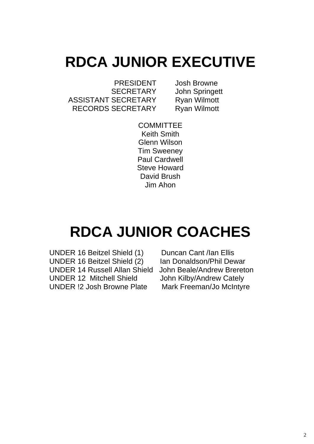## **RDCA JUNIOR EXECUTIVE**

 PRESIDENT Josh Browne SECRETARY John Springett ASSISTANT SECRETARY Ryan Wilmott RECORDS SECRETARY Ryan Wilmott

**COMMITTEE** Keith Smith Glenn Wilson Tim Sweeney Paul Cardwell Steve Howard David Brush Jim Ahon

## **RDCA JUNIOR COACHES**

 UNDER 16 Beitzel Shield (1) Duncan Cant /Ian Ellis UNDER 16 Beitzel Shield (2) Ian Donaldson/Phil Dewar UNDER 14 Russell Allan Shield John Beale/Andrew Brereton UNDER 12 Mitchell Shield John Kilby/Andrew Cately UNDER !2 Josh Browne Plate Mark Freeman/Jo McIntyre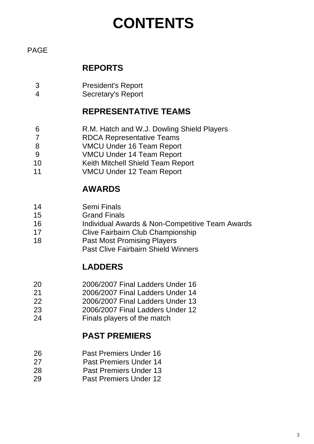## **CONTENTS**

#### PAGE

#### **REPORTS**

- 3 President's Report
- 4 Secretary's Report

#### **REPRESENTATIVE TEAMS**

- 6 R.M. Hatch and W.J. Dowling Shield Players
- 7 RDCA Representative Teams
- 8 VMCU Under 16 Team Report
- 9 VMCU Under 14 Team Report
- 10 Keith Mitchell Shield Team Report
- 11 VMCU Under 12 Team Report

#### **AWARDS**

- 14 Semi Finals
- 15 Grand Finals
- 16 Individual Awards & Non-Competitive Team Awards
- 17 Clive Fairbairn Club Championship
- 18 Past Most Promising Players
	- Past Clive Fairbairn Shield Winners

#### **LADDERS**

- 20 2006/2007 Final Ladders Under 16
- 21 2006/2007 Final Ladders Under 14
- 22 2006/2007 Final Ladders Under 13
- 23 2006/2007 Final Ladders Under 12
- 24 Finals players of the match

#### **PAST PREMIERS**

- 26 Past Premiers Under 16
- 27 Past Premiers Under 14
- 28 Past Premiers Under 13
- 29 Past Premiers Under 12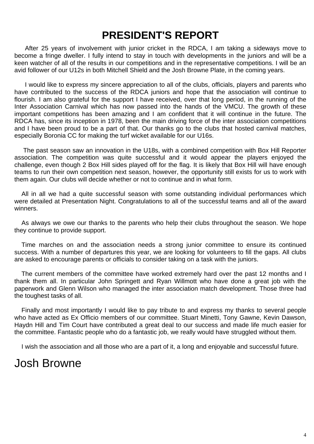## **PRESIDENT'S REPORT**

 After 25 years of involvement with junior cricket in the RDCA, I am taking a sideways move to become a fringe dweller. I fully intend to stay in touch with developments in the juniors and will be a keen watcher of all of the results in our competitions and in the representative competitions. I will be an avid follower of our U12s in both Mitchell Shield and the Josh Browne Plate, in the coming years.

 I would like to express my sincere appreciation to all of the clubs, officials, players and parents who have contributed to the success of the RDCA juniors and hope that the association will continue to flourish. I am also grateful for the support I have received, over that long period, in the running of the Inter Association Carnival which has now passed into the hands of the VMCU. The growth of these important competitions has been amazing and I am confident that it will continue in the future. The RDCA has, since its inception in 1978, been the main driving force of the inter association competitions and I have been proud to be a part of that. Our thanks go to the clubs that hosted carnival matches, especially Boronia CC for making the turf wicket available for our U16s.

 The past season saw an innovation in the U18s, with a combined competition with Box Hill Reporter association. The competition was quite successful and it would appear the players enjoyed the challenge, even though 2 Box Hill sides played off for the flag. It is likely that Box Hill will have enough teams to run their own competition next season, however, the opportunity still exists for us to work with them again. Our clubs will decide whether or not to continue and in what form.

 All in all we had a quite successful season with some outstanding individual performances which were detailed at Presentation Night. Congratulations to all of the successful teams and all of the award winners.

 As always we owe our thanks to the parents who help their clubs throughout the season. We hope they continue to provide support.

 Time marches on and the association needs a strong junior committee to ensure its continued success. With a number of departures this year, we are looking for volunteers to fill the gaps. All clubs are asked to encourage parents or officials to consider taking on a task with the juniors.

 The current members of the committee have worked extremely hard over the past 12 months and I thank them all. In particular John Springett and Ryan Willmott who have done a great job with the paperwork and Glenn Wilson who managed the inter association match development. Those three had the toughest tasks of all.

 Finally and most importantly I would like to pay tribute to and express my thanks to several people who have acted as Ex Officio members of our committee. Stuart Minetti, Tony Gawne, Kevin Dawson, Haydn Hill and Tim Court have contributed a great deal to our success and made life much easier for the committee. Fantastic people who do a fantastic job, we really would have struggled without them.

I wish the association and all those who are a part of it, a long and enjoyable and successful future.

### Josh Browne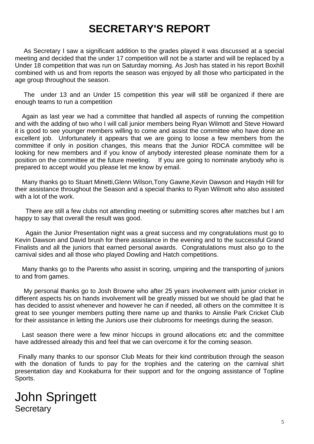## **SECRETARY'S REPORT**

 As Secretary I saw a significant addition to the grades played it was discussed at a special meeting and decided that the under 17 competition will not be a starter and will be replaced by a Under 18 competition that was run on Saturday morning. As Josh has stated in his report Boxhill combined with us and from reports the season was enjoyed by all those who participated in the age group throughout the season.

 The under 13 and an Under 15 competition this year will still be organized if there are enough teams to run a competition

 Again as last year we had a committee that handled all aspects of running the competition and with the adding of two who I will call junior members being Ryan Wilmott and Steve Howard it is good to see younger members willing to come and assist the committee who have done an excellent job. Unfortunately it appears that we are going to loose a few members from the committee if only in position changes, this means that the Junior RDCA committee will be looking for new members and if you know of anybody interested please nominate them for a position on the committee at the future meeting. If you are going to nominate anybody who is prepared to accept would you please let me know by email.

 Many thanks go to Stuart Minetti,Glenn Wilson,Tony Gawne,Kevin Dawson and Haydn Hill for their assistance throughout the Season and a special thanks to Ryan Wilmott who also assisted with a lot of the work.

 There are still a few clubs not attending meeting or submitting scores after matches but I am happy to say that overall the result was good.

 Again the Junior Presentation night was a great success and my congratulations must go to Kevin Dawson and David brush for there assistance in the evening and to the successful Grand Finalists and all the juniors that earned personal awards. Congratulations must also go to the carnival sides and all those who played Dowling and Hatch competitions.

 Many thanks go to the Parents who assist in scoring, umpiring and the transporting of juniors to and from games.

 My personal thanks go to Josh Browne who after 25 years involvement with junior cricket in different aspects his on hands involvement will be greatly missed but we should be glad that he has decided to assist whenever and however he can if needed, all others on the committee It is great to see younger members putting there name up and thanks to Ainslie Park Cricket Club for their assistance in letting the Juniors use their clubrooms for meetings during the season.

 Last season there were a few minor hiccups in ground allocations etc and the committee have addressed already this and feel that we can overcome it for the coming season.

 Finally many thanks to our sponsor Club Meats for their kind contribution through the season with the donation of funds to pay for the trophies and the catering on the carnival shirt presentation day and Kookaburra for their support and for the ongoing assistance of Topline Sports.

#### John Springett **Secretary**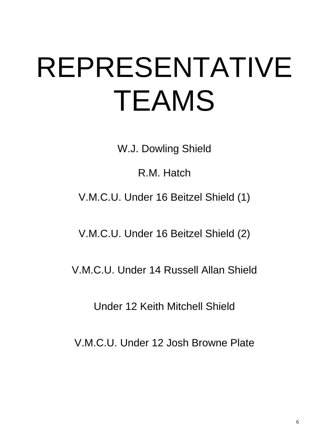# REPRESENTATIVE TEAMS

W.J. Dowling Shield

R.M. Hatch

V.M.C.U. Under 16 Beitzel Shield (1)

V.M.C.U. Under 16 Beitzel Shield (2)

V.M.C.U. Under 14 Russell Allan Shield

Under 12 Keith Mitchell Shield

V.M.C.U. Under 12 Josh Browne Plate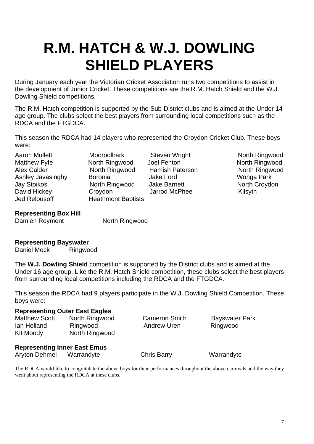## **R.M. HATCH & W.J. DOWLING SHIELD PLAYERS**

During January each year the Victorian Cricket Association runs two competitions to assist in the development of Junior Cricket. These competitions are the R.M. Hatch Shield and the W.J. Dowling Shield competitions.

The R.M. Hatch competition is supported by the Sub-District clubs and is aimed at the Under 14 age group. The clubs select the best players from surrounding local competitions such as the RDCA and the FTGDCA.

This season the RDCA had 14 players who represented the Croydon Cricket Club. These boys were:

Jed Relousoff **Heathmont Baptists** 

Aaron Mullett Mooroolbark Steven Wright North Ringwood Matthew Fyfe **North Ringwood** Joel Fenton North Ringwood Alex Calder **North Ringwood** Hamish Paterson **North Ringwood**<br>Ashlev Javasinghy Boronia **North State Pater Construent Construent** Wonga Park Ashley Javasinghy Boronia **Barket Barket Jake Ford** Jay Stoikos North Ringwood Jake Barnett North Croydon David Hickey Croydon Jarrod McPhee Kilsyth

#### **Representing Box Hill**

Damien Reyment North Ringwood

#### **Representing Bayswater**

Daniel Mock Ringwood

The **W.J. Dowling Shield** competition is supported by the District clubs and is aimed at the Under 16 age group. Like the R.M. Hatch Shield competition, these clubs select the best players from surrounding local competitions including the RDCA and the FTGDCA.

This season the RDCA had 9 players participate in the W.J. Dowling Shield Competition. These boys were:

#### **Representing Outer East Eagles**

| <b>Matthew Scott</b> | North Ringwood |
|----------------------|----------------|
| lan Holland          | Ringwood       |
| Kit Moody            | North Ringwood |

Andrew Uren Ringwood

Cameron Smith Bayswater Park

#### **Representing Inner East Emus**

Aryton Dehmel Warrandyte Chris Barry Warrandyte

The RDCA would like to congratulate the above boys for their performances throughout the above carnivals and the way they went about representing the RDCA at these clubs.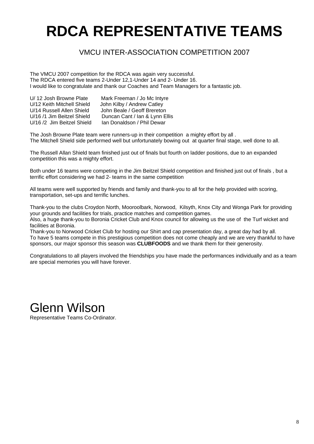## **RDCA REPRESENTATIVE TEAMS**

#### VMCU INTER-ASSOCIATION COMPETITION 2007

The VMCU 2007 competition for the RDCA was again very successful. The RDCA entered five teams 2-Under 12,1-Under 14 and 2- Under 16. I would like to congratulate and thank our Coaches and Team Managers for a fantastic job.

| U/12 Josh Browne Plate     | Mark Freeman / Jo Mc Intyre    |
|----------------------------|--------------------------------|
| U/12 Keith Mitchell Shield | John Kilby / Andrew Catley     |
| U/14 Russell Allen Shield  | John Beale / Geoff Brereton    |
| U/16 /1 Jim Beitzel Shield | Duncan Cant / Ian & Lynn Ellis |
| U/16 /2 Jim Beitzel Shield | Ian Donaldson / Phil Dewar     |

The Josh Browne Plate team were runners-up in their competition a mighty effort by all . The Mitchell Shield side performed well but unfortunately bowing out at quarter final stage, well done to all.

The Russell Allan Shield team finished just out of finals but fourth on ladder positions, due to an expanded competition this was a mighty effort.

Both under 16 teams were competing in the Jim Beitzel Shield competition and finished just out of finals , but a terrific effort considering we had 2- teams in the same competition

All teams were well supported by friends and family and thank-you to all for the help provided with scoring, transportation, set-ups and terrific lunches.

Thank-you to the clubs Croydon North, Mooroolbark, Norwood, Kilsyth, Knox City and Wonga Park for providing your grounds and facilities for trials, practice matches and competition games.

Also, a huge thank-you to Boronia Cricket Club and Knox council for allowing us the use of the Turf wicket and facilities at Boronia.

Thank-you to Norwood Cricket Club for hosting our Shirt and cap presentation day, a great day had by all. To have 5 teams compete in this prestigious competition does not come cheaply and we are very thankful to have sponsors, our major sponsor this season was **CLUBFOODS** and we thank them for their generosity.

Congratulations to all players involved the friendships you have made the performances individually and as a team are special memories you will have forever.

Glenn Wilson Representative Teams Co-Ordinator.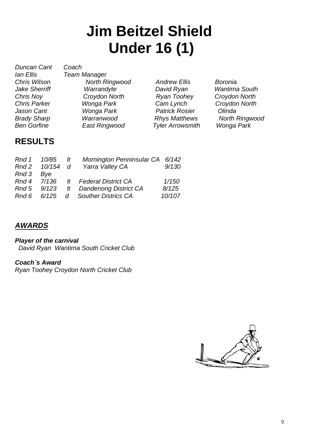## **Jim Beitzel Shield Under 16 (1)**

*Duncan Cant Coach Ian Ellis Team Manager*

*Chris Wilson North Ringwood Andrew Ellis Boronia Ben Gorfine East Ringwood Tyler Arrowsmith Wonga Park* 

*Jake Sherriff Warrandyte David Ryan Wantirna South Chris Noy Croydon North Ryan Toohey Croydon North Chris Parker Wonga Park Cam Lynch Croydon North Jason Cant Wonga Park Patrick Rosier Olinda* 

*Brady Sharp Warranwood Rhys Matthews North Ringwood* 

#### **RESULTS**

|           | Yarra Valley CA              | 9/130                                                                                                                                                                |
|-----------|------------------------------|----------------------------------------------------------------------------------------------------------------------------------------------------------------------|
| Rnd 3 Bye |                              |                                                                                                                                                                      |
|           |                              | 1/150                                                                                                                                                                |
|           |                              | 8/125                                                                                                                                                                |
|           |                              | 10/107                                                                                                                                                               |
|           | Rnd 1 10/85<br>$\frac{1}{t}$ | Mornington Penninsular CA 6/142<br>Rnd 2 10/154 d<br>Rnd 4 7/136 It Federal District CA<br>Rnd 5 9/123 It Dandenong District CA<br>Rnd 6 6/125 d Souther Districs CA |

#### *AWARDS*

*Player of the carnival David Ryan Wantirna South Cricket Club* 

#### *Coach`s Award*

*Ryan Toohey Croydon North Cricket Club* 

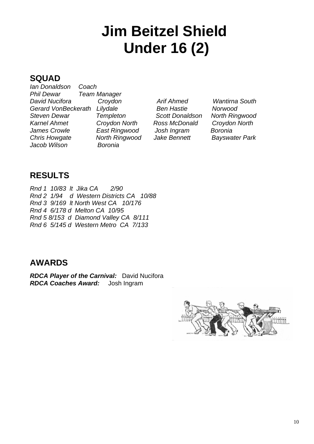## **Jim Beitzel Shield Under 16 (2)**

#### **SQUAD**

*Ian Donaldson Coach Phil Dewar Team Manager David Nucifora Croydon Arif Ahmed Wantirna South Gerard VonBeckerath Lilydale Ben Hastie Norwood Steven Dewar Templeton Scott Donaldson North Ringwood Karnel Ahmet Croydon North Ross McDonald Croydon North James Crowle East Ringwood Josh Ingram Boronia Chris Howgate North Ringwood Jake Bennett Bayswater Park Jacob Wilson Boronia*

#### **RESULTS**

*Rnd 1 10/83 lt Jika CA 2/90 Rnd 2 1/94 d Western Districts CA 10/88 Rnd 3 9/169 lt North West CA 10/176 Rnd 4 6/178 d Melton CA 10/95 Rnd 5 8/153 d Diamond Valley CA 8/111 Rnd 6 5/145 d Western Metro CA 7/133* 

#### **AWARDS**

*RDCA Player of the Carnival:* David Nucifora *RDCA Coaches Award:* Josh Ingram

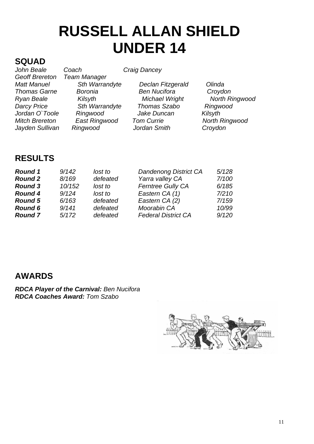## **RUSSELL ALLAN SHIELD UNDER 14**

## **SQUAD**<br>John Beale

*John Beale Coach Craig Dancey*  **Team Manager** *Matt Manuel Sth Warrandyte Declan Fitzgerald Olinda Thomas Garne Boronia Ben Nucifora Croydon Ryan Beale Kilsyth Michael Wright North Ringwood Darcy Price Sth Warrandyte Thomas Szabo Ringwood Jordan O`Toole* Mitch Brereton **East Ringwood** Tom Currie **North Ringwood** *Jayden Sullivan Ringwood Jordan Smith Croydon* 

#### **RESULTS**

| 9/142  | lost to  | <b>Dandenong District CA</b> | 5/128 |
|--------|----------|------------------------------|-------|
| 8/169  | defeated | Yarra valley CA              | 7/100 |
| 10/152 | lost to  | <b>Ferntree Gully CA</b>     | 6/185 |
| 9/124  | lost to  | Eastern CA (1)               | 7/210 |
| 6/163  | defeated | Eastern CA (2)               | 7/159 |
| 9/141  | defeated | Moorabin CA                  | 10/99 |
| 5/172  | defeated | <b>Federal District CA</b>   | 9/120 |
|        |          |                              |       |

#### **AWARDS**

*RDCA Player of the Carnival: Ben Nucifora RDCA Coaches Award: Tom Szabo* 

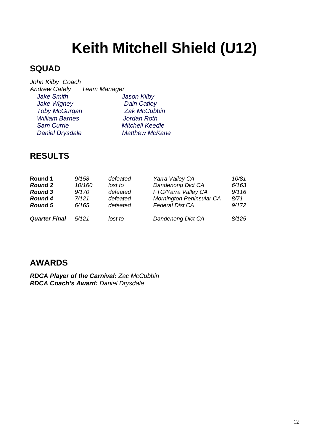## **Keith Mitchell Shield (U12)**

#### **SQUAD**

*John Kilby Coach Andrew Cately Team Manager Jake Smith* Mathew Jason Kilby  *Jake Wigney Dain Catley Toby McGurgan Zak McCubbin William Barnes Jordan Roth* **Sam Currie Mitchell Keedle** *Daniel Drysdale* Matthew McKane

#### **RESULTS**

| Round 1              | 9/158  | defeated | Yarra Valley CA          | 10/81 |
|----------------------|--------|----------|--------------------------|-------|
| <b>Round 2</b>       | 10/160 | lost to  | <b>Dandenong Dict CA</b> | 6/163 |
| <b>Round 3</b>       | 9/170  | defeated | FTG/Yarra Valley CA      | 9/116 |
| <b>Round 4</b>       | 7/121  | defeated | Mornington Peninsular CA | 8/71  |
| <b>Round 5</b>       | 6/165  | defeated | <b>Federal Dist CA</b>   | 9/172 |
| <b>Quarter Final</b> | 5/121  | lost to  | Dandenong Dict CA        | 8/125 |

#### **AWARDS**

*RDCA Player of the Carnival: Zac McCubbin RDCA Coach's Award: Daniel Drysdale*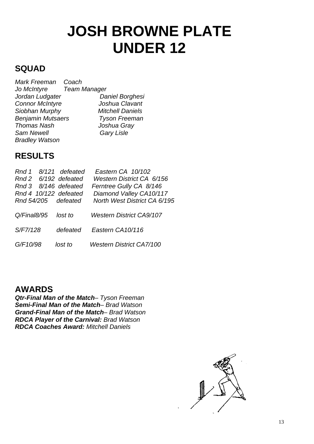## **JOSH BROWNE PLATE UNDER 12**

#### **SQUAD**

| Mark Freeman             | Coach                   |
|--------------------------|-------------------------|
| Jo McIntyre              | <b>Team Manager</b>     |
| Jordan Ludgater          | Daniel Borghesi         |
| <b>Connor McIntyre</b>   | Joshua Clavant          |
| Siobhan Murphy           | <b>Mitchell Daniels</b> |
| <b>Benjamin Mutsaers</b> | <b>Tyson Freeman</b>    |
| <b>Thomas Nash</b>       | Joshua Gray             |
| <b>Sam Newell</b>        | Gary Lisle              |
| <b>Bradley Watson</b>    |                         |

#### **RESULTS**

| Rnd 1       | 8/121 defeated        | Eastern CA 10/102               |
|-------------|-----------------------|---------------------------------|
|             | Rnd 2 6/192 defeated  | Western District CA 6/156       |
|             | Rnd 3 8/146 defeated  | Ferntree Gully CA 8/146         |
|             | Rnd 4 10/122 defeated | Diamond Valley CA10/117         |
|             | Rnd 54/205 defeated   | North West District CA 6/195    |
| Q/Final8/95 | lost to               | <b>Western District CA9/107</b> |
| S/F7/128    | defeated              | Eastern CA10/116                |
| G/F10/98    | lost to               | <b>Western District CA7/100</b> |

#### **AWARDS**

*Qtr-Final Man of the Match– Tyson Freeman Semi-Final Man of the Match– Brad Watson Grand-Final Man of the Match– Brad Watson RDCA Player of the Carnival: Brad Watson RDCA Coaches Award: Mitchell Daniels* 

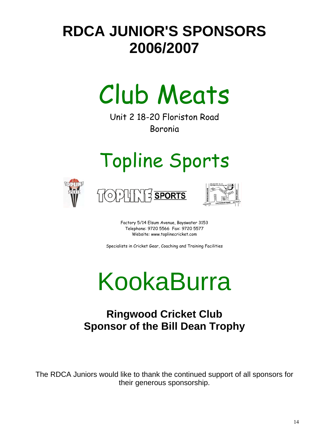## **RDCA JUNIOR'S SPONSORS 2006/2007**



Unit 2 18-20 Floriston Road Boronia

# Topline Sports







Factory 5/14 Elsum Avenue, Bayswater 3153 Telephone: 9720 5566 Fax: 9720 5577 Website: www.toplinecricket.com

Specialists in Cricket Gear, Coaching and Training Facilities

# KookaBurra

## **Ringwood Cricket Club Sponsor of the Bill Dean Trophy**

The RDCA Juniors would like to thank the continued support of all sponsors for their generous sponsorship.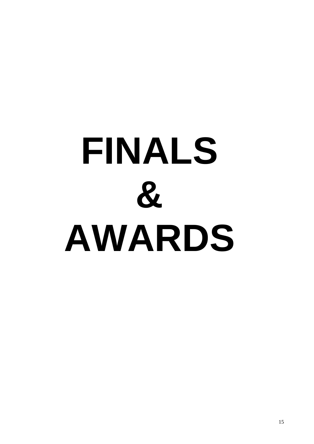# **FINALS & AWARDS**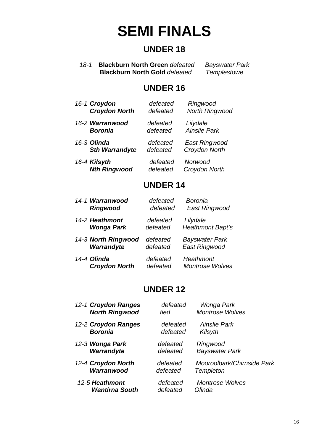## **SEMI FINALS**

#### **UNDER 18**

*18-1* **Blackburn North Green** *defeated Bayswater Park* **Blackburn North Gold** defeated

#### **UNDER 16**

| 16-1 Croydon          | defeated | Ringwood              |
|-----------------------|----------|-----------------------|
| <b>Croydon North</b>  | defeated | <b>North Ringwood</b> |
| 16-2 Warranwood       | defeated | Lilydale              |
| <b>Boronia</b>        | defeated | <b>Ainslie Park</b>   |
| 16-3 Olinda           | defeated | East Ringwood         |
| <b>Sth Warrandyte</b> | defeated | Croydon North         |
| 16-4 Kilsyth          | defeated | Norwood               |
| <b>Nth Ringwood</b>   | defeated | Croydon North         |

#### **UNDER 14**

| 14-1 Warranwood      | defeated | Boronia                 |
|----------------------|----------|-------------------------|
| <b>Ringwood</b>      | defeated | East Ringwood           |
| 14-2 Heathmont       | defeated | Lilydale                |
| Wonga Park           | defeated | <b>Heathmont Bapt's</b> |
| 14-3 North Ringwood  | defeated | <b>Bayswater Park</b>   |
| Warrandyte           | defeated | <b>East Ringwood</b>    |
| 14-4 Olinda          | defeated | Heathmont               |
| <b>Croydon North</b> | defeated | <b>Montrose Wolves</b>  |

#### **UNDER 12**

| 12-1 Croydon Ranges   | defeated | Wonga Park                 |
|-----------------------|----------|----------------------------|
| <b>North Ringwood</b> | tied     | <b>Montrose Wolves</b>     |
| 12-2 Croydon Ranges   | defeated | Ainslie Park               |
| <b>Boronia</b>        | defeated | Kilsyth                    |
| 12-3 Wonga Park       | defeated | Ringwood                   |
| Warrandyte            | defeated | <b>Bayswater Park</b>      |
| 12-4 Croydon North    | defeated | Mooroolbark/Chirnside Park |
| Warranwood            | defeated | <b>Templeton</b>           |
| 12-5 Heathmont        | defeated | <b>Montrose Wolves</b>     |
| <b>Wantirna South</b> | defeated | Olinda                     |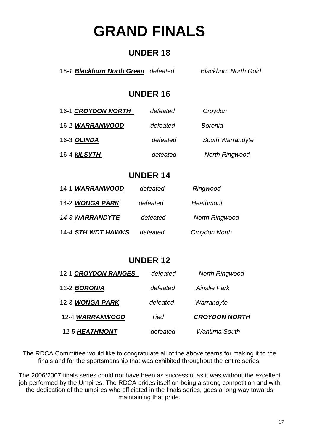## **GRAND FINALS**

#### **UNDER 18**

18*-1 Blackburn North Green defeated Blackburn North Gold* 

#### **UNDER 16**

| 16-1 CROYDON NORTH  | defeated | Croydon               |
|---------------------|----------|-----------------------|
| 16-2 WARRANWOOD     | defeated | Boronia               |
| 16-3 OLINDA         | defeated | South Warrandyte      |
| 16-4 <b>kILSYTH</b> | defeated | <b>North Ringwood</b> |

#### **UNDER 14**

| 14-1 WARRANWOOD    | defeated | Ringwood              |
|--------------------|----------|-----------------------|
| 14-2 WONGA PARK    | defeated | Heathmont             |
| 14-3 WARRANDYTE    | defeated | <b>North Ringwood</b> |
| 14-4 STH WDT HAWKS | defeated | Croydon North         |

#### **UNDER 12**

| 12-5 HEATHMONT      | defeated | <b>Wantirna South</b> |
|---------------------|----------|-----------------------|
| 12-4 WARRANWOOD     | Tied     | <b>CROYDON NORTH</b>  |
| 12-3 WONGA PARK     | defeated | Warrandyte            |
| 12-2 <b>BORONIA</b> | defeated | Ainslie Park          |
| 12-1 CROYDON RANGES | defeated | <b>North Ringwood</b> |

The RDCA Committee would like to congratulate all of the above teams for making it to the finals and for the sportsmanship that was exhibited throughout the entire series.

The 2006/2007 finals series could not have been as successful as it was without the excellent job performed by the Umpires. The RDCA prides itself on being a strong competition and with the dedication of the umpires who officiated in the finals series, goes a long way towards maintaining that pride.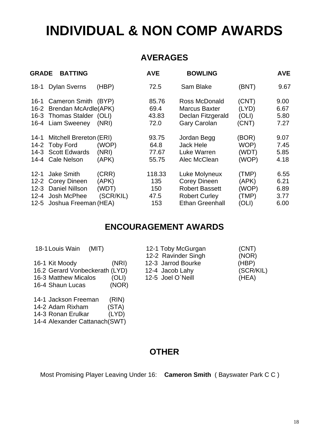## **INDIVIDUAL & NON COMP AWARDS**

#### **AVERAGES**

| <b>GRADE</b>                                         | <b>BATTING</b>                                                                                           |                                      | <b>AVE</b>                          | <b>BOWLING</b>                                                                                                  |                                           | <b>AVE</b>                           |
|------------------------------------------------------|----------------------------------------------------------------------------------------------------------|--------------------------------------|-------------------------------------|-----------------------------------------------------------------------------------------------------------------|-------------------------------------------|--------------------------------------|
| $18-1$                                               | <b>Dylan Sverns</b>                                                                                      | (HBP)                                | 72.5                                | Sam Blake                                                                                                       | (BNT)                                     | 9.67                                 |
| 16-1                                                 | Cameron Smith (BYP)<br>16-2 Brendan McArdle(APK)<br>16-3 Thomas Stalder (OLI)<br>16-4 Liam Sweeney       | (NRI)                                | 85.76<br>69.4<br>43.83<br>72.0      | Ross McDonald<br><b>Marcus Baxter</b><br>Declan Fitzgerald<br><b>Gary Carolan</b>                               | (CNT)<br>(LYD)<br>(OLI)<br>(CNT)          | 9.00<br>6.67<br>5.80<br>7.27         |
| $14 - 1$<br>14-3                                     | Mitchell Brereton (ERI)<br>14-2 Toby Ford<br><b>Scott Edwards</b><br>14-4 Cale Nelson                    | (WOP)<br>(NRI)<br>(APK)              | 93.75<br>64.8<br>77.67<br>55.75     | Jordan Begg<br><b>Jack Hele</b><br>Luke Warren<br>Alec McClean                                                  | (BOR)<br>WOP)<br>(WDT)<br>(WOP)           | 9.07<br>7.45<br>5.85<br>4.18         |
| $12 - 1$<br>$12 - 2$<br>$12 - 3$<br>$12 - 4$<br>12-5 | <b>Jake Smith</b><br><b>Corey Dineen</b><br><b>Daniel Nillson</b><br>Josh McPhee<br>Joshua Freeman (HEA) | (CRR)<br>(APK)<br>(WDT)<br>(SCR/KIL) | 118.33<br>135<br>150<br>47.5<br>153 | Luke Molyneux<br><b>Corey Dineen</b><br><b>Robert Bassett</b><br><b>Robert Curley</b><br><b>Ethan Greenhall</b> | (TMP)<br>(APK)<br>(WOP)<br>(TMP)<br>(OLI) | 6.55<br>6.21<br>6.89<br>3.77<br>6.00 |

#### **ENCOURAGEMENT AWARDS**

| 18-1 Louis Wain<br>(MIT)       |       | 12-1 Toby McGurgan  | (CNT)     |
|--------------------------------|-------|---------------------|-----------|
|                                |       | 12-2 Ravinder Singh | (NOR)     |
| 16-1 Kit Moody                 | (NRI) | 12-3 Jarrod Bourke  | (HBP)     |
| 16.2 Gerard Vonbeckerath (LYD) |       | 12-4 Jacob Lahy     | (SCR/KIL) |
| 16-3 Matthew Micalos           | (OLI) | 12-5 Joel O'Neill   | (HEA)     |
| 16-4 Shaun Lucas               | (NOR) |                     |           |

|  |  | 14-1 Jackson Freeman | (RIN) |
|--|--|----------------------|-------|
|--|--|----------------------|-------|

- 14-2 Adam Rixham (STA)
- 14-3 Ronan Erulkar (LYD)

14-4 Alexander Cattanach(SWT)

#### **OTHER**

Most Promising Player Leaving Under 16: **Cameron Smith** ( Bayswater Park C C )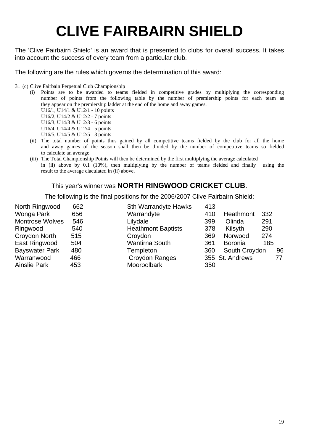## **CLIVE FAIRBAIRN SHIELD**

The 'Clive Fairbairn Shield' is an award that is presented to clubs for overall success. It takes into account the success of every team from a particular club.

The following are the rules which governs the determination of this award:

31 (c) Clive Fairbain Perpetual Club Championship

- (i) Points are to be awarded to teams fielded in competitive grades by multiplying the corresponding number of points from the following table by the number of premiership points for each team as they appear on the premiership ladder at the end of the home and away games.
	- U16/1, U14/1 & U12/1 10 points U16/2, U14/2 & U12/2 - 7 points
	- U16/3, U14/3 & U12/3 6 points
	- U16/4, U14/4 & U12/4 5 points
	- U16/5, U14/5 & U12/5 3 points
- (ii) The total number of points thus gained by all competitive teams fielded by the club for all the home and away games of the season shall then be divided by the number of competitive teams so fielded to calculate an average.
- (iii) The Total Championship Points will then be determined by the first multiplying the average calculated in (ii) above by 0.1 (10%), then multiplying by the number of teams fielded and finally using the result to the average claculated in (ii) above.

#### This year's winner was **NORTH RINGWOOD CRICKET CLUB**.

The following is the final positions for the 2006/2007 Clive Fairbairn Shield:

| North Ringwood         | 662 | <b>Sth Warrandyte Hawks</b> | 413 |                 |     |    |
|------------------------|-----|-----------------------------|-----|-----------------|-----|----|
| Wonga Park             | 656 | Warrandyte                  | 410 | Heathmont       | 332 |    |
| <b>Montrose Wolves</b> | 546 | Lilydale                    | 399 | Olinda          | 291 |    |
| Ringwood               | 540 | <b>Heathmont Baptists</b>   | 378 | Kilsyth         | 290 |    |
| Croydon North          | 515 | Croydon                     | 369 | Norwood         | 274 |    |
| East Ringwood          | 504 | <b>Wantirna South</b>       | 361 | <b>Boronia</b>  | 185 |    |
| <b>Bayswater Park</b>  | 480 | Templeton                   | 360 | South Croydon   |     | 96 |
| Warranwood             | 466 | Croydon Ranges              |     | 355 St. Andrews |     | 77 |
| <b>Ainslie Park</b>    | 453 | Mooroolbark                 | 350 |                 |     |    |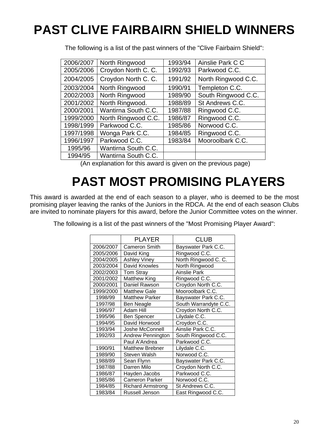## **PAST CLIVE FAIRBAIRN SHIELD WINNERS**

The following is a list of the past winners of the "Clive Fairbairn Shield":

| 2006/2007 | North Ringwood      | 1993/94 | Ainslie Park C C    |
|-----------|---------------------|---------|---------------------|
| 2005/2006 | Croydon North C. C. | 1992/93 | Parkwood C.C.       |
| 2004/2005 | Croydon North C. C. | 1991/92 | North Ringwood C.C. |
| 2003/2004 | North Ringwood      | 1990/91 | Templeton C.C.      |
| 2002/2003 | North Ringwood      | 1989/90 | South Ringwood C.C. |
| 2001/2002 | North Ringwood.     | 1988/89 | St Andrews C.C.     |
| 2000/2001 | Wantirna South C.C. | 1987/88 | Ringwood C.C.       |
| 1999/2000 | North Ringwood C.C. | 1986/87 | Ringwood C.C.       |
| 1998/1999 | Parkwood C.C.       | 1985/86 | Norwood C.C.        |
| 1997/1998 | Wonga Park C.C.     | 1984/85 | Ringwood C.C.       |
| 1996/1997 | Parkwood C.C.       | 1983/84 | Mooroolbark C.C.    |
| 1995/96   | Wantirna South C.C. |         |                     |
| 1994/95   | Wantirna South C.C. |         |                     |

(An explanation for this award is given on the previous page)

## **PAST MOST PROMISING PLAYERS**

This award is awarded at the end of each season to a player, who is deemed to be the most promising player leaving the ranks of the Juniors in the RDCA. At the end of each season Clubs are invited to nominate players for this award, before the Junior Committee votes on the winner.

The following is a list of the past winners of the "Most Promising Player Award":

|           | <b>PLAYER</b>            | CLUB                  |
|-----------|--------------------------|-----------------------|
| 2006/2007 | Cameron Smith            | Bayswater Park C.C.   |
| 2005/2006 | David King               | Ringwood C.C.         |
| 2004/2005 | <b>Ashley Viney</b>      | North Ringwood C. C.  |
| 2003/2004 | David Knowles            | North Ringwood        |
| 2002/2003 | Tom Stray                | <b>Ainslie Park</b>   |
| 2001/2002 | <b>Matthew King</b>      | Ringwood C.C.         |
| 2000/2001 | Daniel Rawson            | Croydon North C.C.    |
| 1999/2000 | <b>Matthew Gale</b>      | Mooroolbark C.C.      |
| 1998/99   | <b>Matthew Parker</b>    | Bayswater Park C.C.   |
| 1997/98   | Ben Neagle               | South Warrandyte C.C. |
| 1996/97   | Adam Hill                | Croydon North C.C.    |
| 1995/96   | <b>Ben Spencer</b>       | Lilydale C.C.         |
| 1994/95   | David Horwood            | Croydon C.C.          |
| 1993/94   | Joshe McConnell          | Ainslie Park C.C.     |
| 1992/93   | Andrew Pennington        | South Ringwood C.C.   |
|           | Paul A'Andrea            | Parkwood C.C.         |
| 1990/91   | <b>Matthew Brebner</b>   | Lilydale C.C.         |
| 1989/90   | Steven Walsh             | Norwood C.C.          |
| 1988/89   | Sean Flynn               | Bayswater Park C.C.   |
| 1987/88   | Darren Milo              | Croydon North C.C.    |
| 1986/87   | Hayden Jacobs            | Parkwood C.C.         |
| 1985/86   | <b>Cameron Parker</b>    | Norwood C.C.          |
| 1984/85   | <b>Richard Armstrong</b> | St Andrews C.C.       |
| 1983/84   | Russell Jenson           | East Ringwood C.C.    |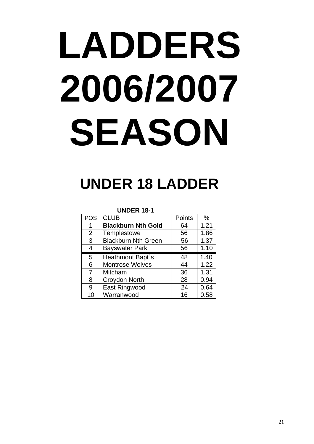# **LADDERS 2006/2007 SEASON**

## **UNDER 18 LADDER**

**UNDER 18-1** 

| <b>POS</b> | <b>CLUB</b>                | Points | $\%$ |
|------------|----------------------------|--------|------|
| 1          | <b>Blackburn Nth Gold</b>  | 64     | 1.21 |
| 2          | Templestowe                | 56     | 1.86 |
| 3          | <b>Blackburn Nth Green</b> | 56     | 1.37 |
| 4          | <b>Bayswater Park</b>      | 56     | 1.10 |
| 5          | Heathmont Bapt's           | 48     | 1.40 |
| 6          | <b>Montrose Wolves</b>     | 44     | 1.22 |
| 7          | <b>Mitcham</b>             | 36     | 1.31 |
| 8          | Croydon North              | 28     | 0.94 |
| 9          | East Ringwood              | 24     | 0.64 |
| 10         | Warranwood                 | 16     | 0.58 |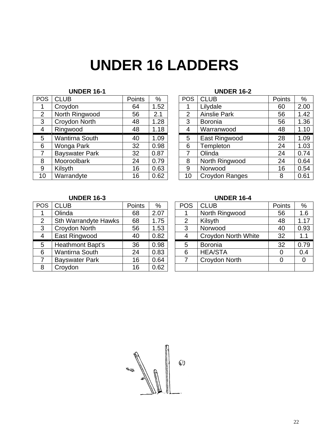## **UNDER 16 LADDERS**

| <b>POS</b> | <b>CLUB</b>           | <b>Points</b> | %    | <b>POS</b>     | <b>CLUB</b>         | Points | $\%$          |
|------------|-----------------------|---------------|------|----------------|---------------------|--------|---------------|
|            | Croydon               | 64            | 1.52 |                | Lilydale            | 60     | 2.00          |
| 2          | North Ringwood        | 56            | 2.1  | $\overline{2}$ | <b>Ainslie Park</b> | 56     | 1.42          |
| 3          | Croydon North         | 48            | 1.28 | 3              | Boronia             | 56     | 1.36          |
| 4          | Ringwood              | 48            | 1.18 | 4              | Warranwood          | 48     | 1.1(          |
| 5          | <b>Wantirna South</b> | 40            | 1.09 | 5              | East Ringwood       | 28     | 1.09          |
| 6          | Wonga Park            | 32            | 0.98 | 6              | Templeton           | 24     | 1.03          |
| 7          | <b>Bayswater Park</b> | 32            | 0.87 | $\overline{7}$ | Olinda              | 24     | 0.74          |
| 8          | Mooroolbark           | 24            | 0.79 | 8              | North Ringwood      | 24     | 0.64          |
| 9          | Kilsyth               | 16            | 0.63 | 9              | Norwood             | 16     | 0.54          |
| 10         | Warrandyte            | 16            | 0.62 | 10             | Croydon Ranges      | 8      | $0.6^{\circ}$ |

#### **UNDER 16-1 UNDER 16-2**

| <b>OS</b>       | <b>CLUB</b>           | Points | %    | <b>POS</b>     | <b>CLUB</b>           | Points | %    |
|-----------------|-----------------------|--------|------|----------------|-----------------------|--------|------|
| $\mathbf{1}$    | Croydon               | 64     | 1.52 |                | Lilydale              | 60     | 2.00 |
| $\overline{2}$  | North Ringwood        | 56     | 2.1  | $\overline{2}$ | <b>Ainslie Park</b>   | 56     | 1.42 |
| $\mathbf{3}$    | Croydon North         | 48     | 1.28 | 3              | <b>Boronia</b>        | 56     | 1.36 |
| $\overline{4}$  | Ringwood              | 48     | 1.18 | 4              | Warranwood            | 48     | 1.10 |
| $5\overline{)}$ | Wantirna South        | 40     | 1.09 | 5              | East Ringwood         | 28     | 1.09 |
| $6\phantom{1}6$ | Wonga Park            | 32     | 0.98 | 6              | Templeton             | 24     | 1.03 |
| $\overline{7}$  | <b>Bayswater Park</b> | 32     | 0.87 |                | Olinda                | 24     | 0.74 |
| 8               | Mooroolbark           | 24     | 0.79 | 8              | North Ringwood        | 24     | 0.64 |
| 9               | Kilsyth               | 16     | 0.63 | 9              | Norwood               | 16     | 0.54 |
| 10              | Warrandyte            | 16     | 0.62 | 10             | <b>Croydon Ranges</b> | 8      | 0.61 |
|                 |                       |        |      |                |                       |        |      |

#### **UNDER 16-3 UNDER 16-4**

| <b>POS</b>     | <b>CLUB</b>                 | Points | %    | <b>POS</b>     | <b>CLUB</b>                | <b>Points</b> | $\%$     |
|----------------|-----------------------------|--------|------|----------------|----------------------------|---------------|----------|
|                | Olinda                      | 68     | 2.07 |                | North Ringwood             | 56            | 1.6      |
| $\overline{2}$ | <b>Sth Warrandyte Hawks</b> | 68     | 1.75 | $\overline{2}$ | Kilsyth                    | 48            | 1.1      |
| 3              | Croydon North               | 56     | 1.53 | 3              | Norwood                    | 40            | 0.93     |
| 4              | East Ringwood               | 40     | 0.82 | 4              | <b>Croydon North White</b> | 32            | 1.1      |
| 5              | Heathmont Bapt's            | 36     | 0.98 | 5              | Boronia                    | 32            | 0.79     |
| 6              | <b>Wantirna South</b>       | 24     | 0.83 | 6              | <b>HEA/STA</b>             | 0             | 0.4      |
|                | <b>Bayswater Park</b>       | 16     | 0.64 |                | Croydon North              | 0             | $\Omega$ |
| 8              | Croydon                     | 16     | 0.62 |                |                            |               |          |

| ОS             | <b>CLUB</b>                 | <b>Points</b> | %    | <b>POS</b>     | <b>CLUB</b>                | Points | %    |
|----------------|-----------------------------|---------------|------|----------------|----------------------------|--------|------|
|                | Olinda                      | 68            | 2.07 |                | North Ringwood             | 56     | 1.6  |
| $\overline{2}$ | <b>Sth Warrandyte Hawks</b> | 68            | 1.75 | $\overline{2}$ | Kilsyth                    | 48     | 1.17 |
| 3              | Croydon North               | 56            | 1.53 | 3              | Norwood                    | 40     | 0.93 |
| 4              | East Ringwood               | 40            | 0.82 |                | <b>Croydon North White</b> | 32     | 1.1  |
| 5              | Heathmont Bapt's            | 36            | 0.98 | 5              | Boronia                    | 32     | 0.79 |
| 6              | <b>Wantirna South</b>       | 24            | 0.83 | 6              | <b>HEA/STA</b>             |        | 0.4  |
| $\overline{7}$ | <b>Bayswater Park</b>       | 16            | 0.64 |                | Croydon North              |        |      |
| 8              | Croydon                     | 16            | 0.62 |                |                            |        |      |

 $\mathbb{C}$  $44.30$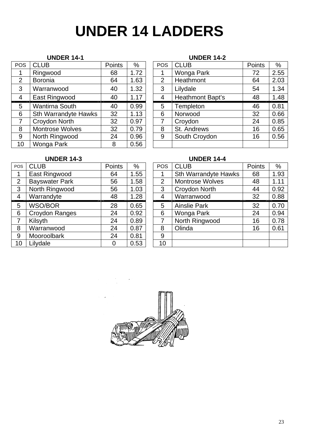## **UNDER 14 LADDERS**

| <b>POS</b> | <b>CLUB</b>                 | Points | %    | <b>POS</b>     | <b>CLUB</b>      | Points | $\%$          |
|------------|-----------------------------|--------|------|----------------|------------------|--------|---------------|
|            | Ringwood                    | 68     | 1.72 |                | Wonga Park       | 72     | 2.55          |
| 2          | <b>Boronia</b>              | 64     | 1.63 | $\overline{2}$ | Heathmont        | 64     | 2.03          |
| 3          | Warranwood                  | 40     | 1.32 | 3              | Lilydale         | 54     | 1.34          |
| 4          | East Ringwood               | 40     | 1.17 | $\overline{4}$ | Heathmont Bapt's | 48     | 1.48          |
| 5          | <b>Wantirna South</b>       | 40     | 0.99 | 5              | Templeton        | 46     | $0.8^{\circ}$ |
| 6          | <b>Sth Warrandyte Hawks</b> | 32     | 1.13 | 6              | Norwood          | 32     | 0.66          |
| 7          | Croydon North               | 32     | 0.97 | 7              | Croydon          | 24     | 0.85          |
| 8          | <b>Montrose Wolves</b>      | 32     | 0.79 | 8              | St. Andrews      | 16     | 0.65          |
| 9          | North Ringwood              | 24     | 0.96 | 9              | South Croydon    | 16     | 0.56          |
| 10         | Wonga Park                  | 8      | 0.56 |                |                  |        |               |

#### **UNDER 14-1 UNDER 14-2**

| ОS             | <b>CLUB</b>                 | Points | %    | <b>POS</b>     | <b>CLUB</b>      | <b>Points</b> | $\%$ |
|----------------|-----------------------------|--------|------|----------------|------------------|---------------|------|
| 1              | Ringwood                    | 68     | 1.72 |                | Wonga Park       | 72            | 2.55 |
| $\overline{2}$ | <b>Boronia</b>              | 64     | 1.63 | $\overline{2}$ | Heathmont        | 64            | 2.03 |
| 3              | Warranwood                  | 40     | 1.32 | 3              | Lilydale         | 54            | 1.34 |
| 4              | East Ringwood               | 40     | 1.17 | 4              | Heathmont Bapt's | 48            | 1.48 |
| 5              | <b>Wantirna South</b>       | 40     | 0.99 | 5              | Templeton        | 46            | 0.81 |
| 6              | <b>Sth Warrandyte Hawks</b> | 32     | 1.13 | 6              | Norwood          | 32            | 0.66 |
| 7              | Croydon North               | 32     | 0.97 |                | Croydon          | 24            | 0.85 |
| 8              | <b>Montrose Wolves</b>      | 32     | 0.79 | 8              | St. Andrews      | 16            | 0.65 |
| 9              | North Ringwood              | 24     | 0.96 | 9              | South Croydon    | 16            | 0.56 |
| $\overline{0}$ | Wonga Park                  | 8      | 0.56 |                |                  |               |      |

| <b>POS</b>     | CLUB                  | Points | %    | POS            |
|----------------|-----------------------|--------|------|----------------|
|                | East Ringwood         | 64     | 1.55 |                |
| $\overline{2}$ | <b>Bayswater Park</b> | 56     | 1.58 | $\overline{2}$ |
| 3              | North Ringwood        | 56     | 1.03 | 3              |
| 4              | Warrandyte            | 48     | 1.28 | 4              |
| 5              | <b>WSO/BOR</b>        | 28     | 0.65 | 5              |
| 6              | Croydon Ranges        | 24     | 0.92 | 6              |
| $\overline{7}$ | Kilsyth               | 24     | 0.89 | 7              |
| 8              | Warranwood            | 24     | 0.87 | 8              |
| 9              | Mooroolbark           | 24     | 0.81 | 9              |
| 10             | Lilydale              |        | 0.53 | 10             |

#### **UNDER 14-3 UNDER 14-4**

| POS            | <b>CLUB</b>           | <b>Points</b> | %    | <b>POS</b>     | <b>CLUB</b>                 | Points | %    |
|----------------|-----------------------|---------------|------|----------------|-----------------------------|--------|------|
| $\mathbf{1}$   | East Ringwood         | 64            | 1.55 |                | <b>Sth Warrandyte Hawks</b> | 68     | 1.93 |
| 2              | <b>Bayswater Park</b> | 56            | 1.58 | $\overline{2}$ | <b>Montrose Wolves</b>      | 48     | 1.11 |
| $\mathbf{3}$   | North Ringwood        | 56            | 1.03 | 3              | Croydon North               | 44     | 0.92 |
| $\overline{4}$ | Warrandyte            | 48            | 1.28 | 4              | Warranwood                  | 32     | 0.88 |
| 5              | WSO/BOR               | 28            | 0.65 | 5              | <b>Ainslie Park</b>         | 32     | 0.70 |
| 6              | Croydon Ranges        | 24            | 0.92 | 6              | Wonga Park                  | 24     | 0.94 |
| $\overline{7}$ | Kilsyth               | 24            | 0.89 | 7              | North Ringwood              | 16     | 0.78 |
| 8              | Warranwood            | 24            | 0.87 | 8              | Olinda                      | 16     | 0.61 |
| 9              | Mooroolbark           | 24            | 0.81 | 9              |                             |        |      |
| 10             | Lilydale              |               | 0.53 | 10             |                             |        |      |



23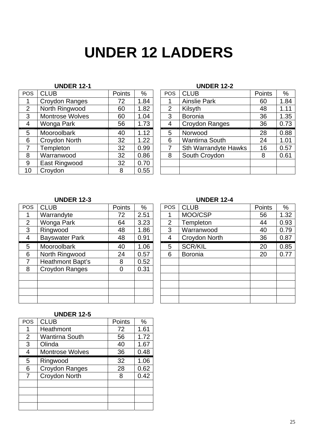## **UNDER 12 LADDERS**

#### **UNDER 12-1 UNDER 12-2**

| <b>POS</b> | <b>CLUB</b>            | Points | %    | <b>POS</b> | <b>CLUB</b>                 | Points | %                |
|------------|------------------------|--------|------|------------|-----------------------------|--------|------------------|
|            | Croydon Ranges         | 72     | 1.84 |            | <b>Ainslie Park</b>         | 60     | 1.84             |
| 2          | North Ringwood         | 60     | 1.82 | 2          | Kilsyth                     | 48     | 1.1 <sup>′</sup> |
| 3          | <b>Montrose Wolves</b> | 60     | 1.04 | 3          | <b>Boronia</b>              | 36     | 1.35             |
| 4          | Wonga Park             | 56     | 1.73 | 4          | Croydon Ranges              | 36     | 0.73             |
| 5          | Mooroolbark            | 40     | 1.12 | 5          | Norwood                     | 28     | 0.88             |
| 6          | Croydon North          | 32     | 1.22 | 6          | <b>Wantirna South</b>       | 24     | $1.0^{\circ}$    |
| 7          | <b>Templeton</b>       | 32     | 0.99 | 7          | <b>Sth Warrandyte Hawks</b> | 16     | $0.5^{\circ}$    |
| 8          | Warranwood             | 32     | 0.86 | 8          | South Croydon               | 8      | $0.6^{\circ}$    |
| 9          | East Ringwood          | 32     | 0.70 |            |                             |        |                  |
| 10         | Croydon                | 8      | 0.55 |            |                             |        |                  |

| OS             | <b>CLUB</b>            | <b>Points</b> | %    | <b>POS</b> | <b>CLUB</b>                 | <b>Points</b> | $\%$ |
|----------------|------------------------|---------------|------|------------|-----------------------------|---------------|------|
| 1              | Croydon Ranges         | 72            | 1.84 |            | Ainslie Park                | 60            | 1.84 |
| $\overline{2}$ | North Ringwood         | 60            | 1.82 | 2          | Kilsyth                     | 48            | 1.11 |
| 3              | <b>Montrose Wolves</b> | 60            | 1.04 | 3          | <b>Boronia</b>              | 36            | 1.35 |
| 4              | Wonga Park             | 56            | 1.73 | 4          | Croydon Ranges              | 36            | 0.73 |
| 5              | Mooroolbark            | 40            | 1.12 | 5          | Norwood                     | 28            | 0.88 |
| 6              | Croydon North          | 32            | 1.22 | 6          | <b>Wantirna South</b>       | 24            | 1.01 |
| 7              | Templeton              | 32            | 0.99 |            | <b>Sth Warrandyte Hawks</b> | 16            | 0.57 |
| 8              | Warranwood             | 32            | 0.86 | 8          | South Croydon               | 8             | 0.61 |
| 9              | East Ringwood          | 32            | 0.70 |            |                             |               |      |
| $\overline{0}$ | Croydon                | 8             | 0.55 |            |                             |               |      |
|                |                        |               |      |            |                             |               |      |

#### **UNDER 12-3 UNDER 12-4**

| <b>POS</b>     | <b>CLUB</b>           | <b>Points</b> | %    | <b>POS</b>     | <b>CLUB</b>    | Points | $\%$      |
|----------------|-----------------------|---------------|------|----------------|----------------|--------|-----------|
| 1              | Warrandyte            | 72            | 2.51 |                | MOO/CSP        | 56     | 1.32      |
| 2              | Wonga Park            | 64            | 3.23 | $\overline{2}$ | Templeton      | 44     | 0.93      |
| 3              | Ringwood              | 48            | 1.86 | 3              | Warranwood     | 40     | 0.79      |
| $\overline{4}$ | <b>Bayswater Park</b> | 48            | 0.91 | 4              | Croydon North  | 36     | $0.8^{-}$ |
| 5              | Mooroolbark           | 40            | 1.06 | 5              | <b>SCR/KIL</b> | 20     | 0.85      |
| 6              | North Ringwood        | 24            | 0.57 | 6              | <b>Boronia</b> | 20     | 0.77      |
| $\overline{7}$ | Heathmont Bapt's      | 8             | 0.52 |                |                |        |           |
| 8              | Croydon Ranges        | 0             | 0.31 |                |                |        |           |
|                |                       |               |      |                |                |        |           |
|                |                       |               |      |                |                |        |           |
|                |                       |               |      |                |                |        |           |
|                |                       |               |      |                |                |        |           |

| OS.            | <b>CLUB</b>           | <b>Points</b> | %    | <b>POS</b> | <b>CLUB</b>    | <b>Points</b> | %    |
|----------------|-----------------------|---------------|------|------------|----------------|---------------|------|
| 1              | Warrandyte            | 72            | 2.51 |            | MOO/CSP        | 56            | 1.32 |
| $\overline{2}$ | Wonga Park            | 64            | 3.23 | 2          | Templeton      | 44            | 0.93 |
| 3              | Ringwood              | 48            | 1.86 | 3          | Warranwood     | 40            | 0.79 |
| 4              | <b>Bayswater Park</b> | 48            | 0.91 | 4          | Croydon North  | 36            | 0.87 |
| 5              | Mooroolbark           | 40            | 1.06 | 5          | <b>SCR/KIL</b> | 20            | 0.85 |
| 6              | North Ringwood        | 24            | 0.57 | 6          | <b>Boronia</b> | 20            | 0.77 |
| 7              | Heathmont Bapt's      | 8             | 0.52 |            |                |               |      |
| 8              | <b>Croydon Ranges</b> | 0             | 0.31 |            |                |               |      |
|                |                       |               |      |            |                |               |      |
|                |                       |               |      |            |                |               |      |
|                |                       |               |      |            |                |               |      |
|                |                       |               |      |            |                |               |      |

#### **UNDER 12-5**

| POS            | <b>CLUB</b>            | Points | $\%$ |
|----------------|------------------------|--------|------|
|                | Heathmont              | 72     | 1.61 |
| $\overline{2}$ | <b>Wantirna South</b>  | 56     | 1.72 |
| 3              | Olinda                 | 40     | 1.67 |
| 4              | <b>Montrose Wolves</b> | 36     | 0.48 |
| 5              | Ringwood               | 32     | 1.06 |
| 6              | <b>Croydon Ranges</b>  | 28     | 0.62 |
| 7              | Croydon North          | 8      | 0.42 |
|                |                        |        |      |
|                |                        |        |      |
|                |                        |        |      |
|                |                        |        |      |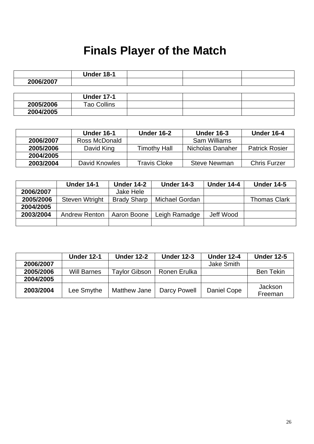## **Finals Player of the Match**

|           | <b>Under 18-1</b>  |  |  |
|-----------|--------------------|--|--|
| 2006/2007 |                    |  |  |
|           |                    |  |  |
|           | <b>Under 17-1</b>  |  |  |
| 2005/2006 | <b>Tao Collins</b> |  |  |
| 2004/2005 |                    |  |  |

|           | <b>Under 16-1</b> | Under 16-2          | <b>Under 16-3</b>   | Under 16-4            |
|-----------|-------------------|---------------------|---------------------|-----------------------|
| 2006/2007 | Ross McDonald     |                     | <b>Sam Williams</b> |                       |
| 2005/2006 | David King        | <b>Timothy Hall</b> | Nicholas Danaher    | <b>Patrick Rosier</b> |
| 2004/2005 |                   |                     |                     |                       |
| 2003/2004 | David Knowles     | <b>Travis Cloke</b> | <b>Steve Newman</b> | <b>Chris Furzer</b>   |

|           | <b>Under 14-1</b>    | <b>Under 14-2</b>  | <b>Under 14-3</b> | <b>Under 14-4</b> | <b>Under 14-5</b>   |
|-----------|----------------------|--------------------|-------------------|-------------------|---------------------|
| 2006/2007 |                      | Jake Hele          |                   |                   |                     |
| 2005/2006 | Steven Wtright       | <b>Brady Sharp</b> | Michael Gordan    |                   | <b>Thomas Clark</b> |
| 2004/2005 |                      |                    |                   |                   |                     |
| 2003/2004 | <b>Andrew Renton</b> | Aaron Boone        | Leigh Ramadge     | Jeff Wood         |                     |
|           |                      |                    |                   |                   |                     |

|           | <b>Under 12-1</b>  | <b>Under 12-2</b>    | <b>Under 12-3</b> | <b>Under 12-4</b> | <b>Under 12-5</b>         |
|-----------|--------------------|----------------------|-------------------|-------------------|---------------------------|
| 2006/2007 |                    |                      |                   | <b>Jake Smith</b> |                           |
| 2005/2006 | <b>Will Barnes</b> | <b>Taylor Gibson</b> | Ronen Erulka      |                   | <b>Ben Tekin</b>          |
| 2004/2005 |                    |                      |                   |                   |                           |
| 2003/2004 | Lee Smythe         | Matthew Jane         | Darcy Powell      | Daniel Cope       | <b>Jackson</b><br>Freeman |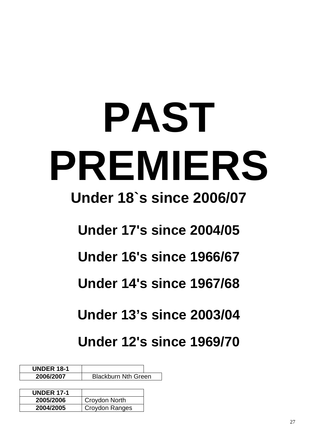# **PAST PREMIERS**

## **Under 18`s since 2006/07**

**Under 17's since 2004/05** 

**Under 16's since 1966/67** 

**Under 14's since 1967/68** 

**Under 13's since 2003/04** 

**Under 12's since 1969/70** 

**UNDER 18-1 2006/2007** Blackburn Nth Green

| <b>UNDER 17-1</b> |                |  |
|-------------------|----------------|--|
| 2005/2006         | Croydon North  |  |
| 2004/2005         | Croydon Ranges |  |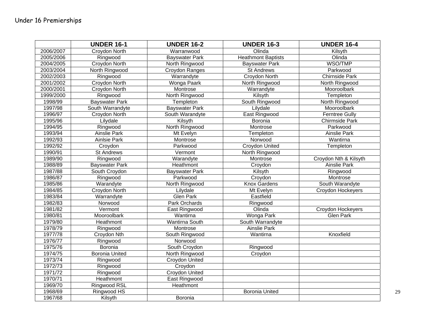|           | <b>UNDER 16-1</b>     | <b>UNDER 16-2</b>     | <b>UNDER 16-3</b>         | <b>UNDER 16-4</b>     |
|-----------|-----------------------|-----------------------|---------------------------|-----------------------|
| 2006/2007 | Croydon North         | Warranwood            | Olinda                    | Kilsyth               |
| 2005/2006 | Ringwood              | <b>Bayswater Park</b> | <b>Heathmont Baptists</b> | Olinda                |
| 2004/2005 | Croydon North         | North Ringwood        | <b>Bayswater Park</b>     | WSO/TMP               |
| 2003/2004 | North Ringwood        | Croydon Ranges        | <b>St Andrews</b>         | Parkwood              |
| 2002/2003 | Ringwood              | Warrandyte            | <b>Croydon North</b>      | <b>Chirnside Park</b> |
| 2001/2002 | <b>Croydon North</b>  | Wonga Paark           | North Ringwood            | North Ringwood        |
| 2000/2001 | <b>Croydon North</b>  | Montrose              | Warrandyte                | Mooroolbark           |
| 1999/2000 | Ringwood              | North Ringwood        | Kilsyth                   | Templeton             |
| 1998/99   | <b>Bayswater Park</b> | Templeton             | South Ringwood            | North Ringwood        |
| 1997/98   | South Warrandyte      | <b>Bayswater Park</b> | Lilydale                  | Mooroolbark           |
| 1996/97   | <b>Croydon North</b>  | South Warandyte       | <b>East Ringwood</b>      | <b>Ferntree Gully</b> |
| 1995/96   | Lilydale              | Kilsyth               | Boronia                   | <b>Chirmside Park</b> |
| 1994/95   | Ringwood              | North Ringwood        | Montrose                  | Parkwood              |
| 1993/94   | <b>Ainslie Park</b>   | Mt Evelyn             | Templeton                 | <b>Ainslie Park</b>   |
| 1992/93   | <b>Ainlsie Park</b>   | Montrose              | Norwood                   | Wantirna              |
| 1992/92   | Croydon               | Parkwood              | Croydon United            | Templeton             |
| 1990/91   | <b>St Andrews</b>     | Vermont               | North Ringwood            |                       |
| 1989/90   | Ringwood              | Warandyte             | Montrose                  | Croydon Nth & Kilsyth |
| 1988/89   | <b>Bayswater Park</b> | Heathmont             | Croydon                   | <b>Ainslie Park</b>   |
| 1987/88   | South Croydon         | <b>Bayswater Park</b> | Kilsyth                   | Ringwood              |
| 1986/87   | Ringwood              | Parkwood              | Croydon                   | Montrose              |
| 1985/86   | Warandyte             | North Ringwood        | <b>Knox Gardens</b>       | South Warandyte       |
| 1984/85   | Croydon North         | Lilydale              | Mt Evelyn                 | Croydon Hockeyers     |
| 1983/84   | Warrandyte            | <b>Glen Park</b>      | Eastfield                 |                       |
| 1982/83   | Norwood               | Park Orchards         | Ringwood                  |                       |
| 1981/82   | Vermont               | East Ringwood         | Olinda                    | Croydon Hockeyers     |
| 1980/81   | Mooroolbark           | Wantirna              | Wonga Park                | <b>Glen Park</b>      |
| 1979/80   | Heathmont             | Wantirna South        | South Warrandyte          |                       |
| 1978/79   | Ringwood              | Montrose              | <b>Ainslie Park</b>       |                       |
| 1977/78   | Croydon Nth           | South Ringwood        | Wantirna                  | Knoxfield             |
| 1976/77   | Ringwood              | Norwood               |                           |                       |
| 1975/76   | Boronia               | South Croydon         | Ringwood                  |                       |
| 1974/75   | <b>Boronia United</b> | North Ringwood        | Croydon                   |                       |
| 1973/74   | Ringwood              | Croydon United        |                           |                       |
| 1972/73   | Ringwood              | Croydon               |                           |                       |
| 1971/72   | Ringwood              | Croydon United        |                           |                       |
| 1970/71   | Heathmont             | East Ringwood         |                           |                       |
| 1969/70   | Ringwood RSL          | Heathmont             |                           |                       |
| 1968/69   | Ringwood HS           |                       | <b>Boronia United</b>     |                       |
| 1967/68   | Kilsyth               | Boronia               |                           |                       |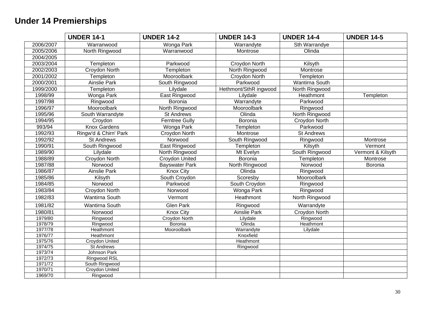#### **Under 14 Premierships**

|                                                                | <b>UNDER 14-1</b>                                                                                               | <b>UNDER 14-2</b>     | <b>UNDER 14-3</b>     | <b>UNDER 14-4</b> | <b>UNDER 14-5</b> |
|----------------------------------------------------------------|-----------------------------------------------------------------------------------------------------------------|-----------------------|-----------------------|-------------------|-------------------|
| 2006/2007                                                      | Warranwood                                                                                                      | Wonga Park            | Warrandyte            | Sth Warrandye     |                   |
| 2005/2006                                                      | North Ringwood                                                                                                  | Warranwood            | Montrose              | Olinda            |                   |
| 2004/2005                                                      |                                                                                                                 |                       |                       |                   |                   |
| 2003/2004                                                      | Templeton                                                                                                       | Parkwood              | Croydon North         | Kilsyth           |                   |
| 2002/2003                                                      | Croydon North                                                                                                   | Templeton             | North Ringwood        | Montrose          |                   |
| 2001/2002                                                      | Templeton                                                                                                       | Mooroolbark           | Croydon North         | Templeton         |                   |
| 2000/2001                                                      | <b>Ainslie Park</b>                                                                                             | South Ringwood        | Parkwood              | Wantirna South    |                   |
| 1999/2000                                                      | Templeton                                                                                                       | Lilydale              | Hethmont/SthR ingwood | North Ringwood    |                   |
| 1998/99                                                        | <b>Wonga Park</b>                                                                                               | <b>East Ringwood</b>  | Lilydale              | Heathmont         | Templeton         |
| 1997/98                                                        | Ringwood                                                                                                        | Boronia               | Warrandyte            | Parkwood          |                   |
| 1996/97                                                        | Mooroolbark                                                                                                     | North Ringwood        | Mooroolbark           | Ringwood          |                   |
| 1995/96                                                        | South Warrandyte                                                                                                | <b>St Andrews</b>     | Olinda                | North Ringwood    |                   |
| 1994/95                                                        | Croydon                                                                                                         | <b>Ferntree Gully</b> | Boronia               | Croydon North     |                   |
| 993/94                                                         | <b>Knox Gardens</b>                                                                                             | Wonga Park            | Templeton             | Parkwood          |                   |
| 1992/93                                                        | Ringw'd & Chirn' Park                                                                                           | Croydon North         | Montrose              | <b>St Andrews</b> |                   |
| 1992/92                                                        | <b>St Andrews</b>                                                                                               | Norwood               | South Ringwood        | Ringwood          | Montrose          |
| 1990/91                                                        | South Ringwood                                                                                                  | East Ringwood         | Templeton             | Kilsyth           | Vermont           |
| 1989/90                                                        | Lilydale                                                                                                        | North Ringwood        | Mt Evelyn             | South Ringwood    | Vermont & Kilsyth |
| 1988/89                                                        | Croydon North                                                                                                   | Croydon United        | Boronia               | Templeton         | Montrose          |
| 1987/88                                                        | Norwood                                                                                                         | Bayswater Park        | North Ringwood        | Norwood           | Boronia           |
| 1986/87                                                        | Ainslie Park                                                                                                    | <b>Knox City</b>      | Olinda                | Ringwood          |                   |
| 1985/86                                                        | Kilsyth                                                                                                         | South Croydon         | Scoresby              | Mooroolbark       |                   |
| 1984/85                                                        | Norwood                                                                                                         | Parkwood              | South Croydon         | Ringwood          |                   |
| 1983/84                                                        | <b>Croydon North</b>                                                                                            | Norwood               | <b>Wonga Park</b>     | Ringwood          |                   |
| 1982/83                                                        | Wantirna South                                                                                                  | Vermont               | Heathmont             | North Ringwood    |                   |
| 1981/82                                                        | Wantirna South                                                                                                  | <b>Glen Park</b>      | Ringwood              | Warrandyte        |                   |
| 1980/81                                                        | Norwood                                                                                                         | <b>Knox City</b>      | <b>Ainslie Park</b>   | Croydon North     |                   |
| 1979/80                                                        | Ringwood                                                                                                        | <b>Croydon North</b>  | Lilydale              | Ringwood          |                   |
| 1978/79                                                        | Ringwood                                                                                                        | Boronia               | Olinda                | Heathmont         |                   |
| 1977/78                                                        | <b>Heathmont</b>                                                                                                | Mooroolbark           | Warrandyte            | Lilydale          |                   |
| 1976/77                                                        | <b>Heathmont</b>                                                                                                |                       | Knoxfield             |                   |                   |
| 1975/76                                                        | <b>Croydon United</b>                                                                                           |                       | Heathmont             |                   |                   |
|                                                                |                                                                                                                 |                       |                       |                   |                   |
|                                                                |                                                                                                                 |                       |                       |                   |                   |
|                                                                |                                                                                                                 |                       |                       |                   |                   |
|                                                                |                                                                                                                 |                       |                       |                   |                   |
|                                                                |                                                                                                                 |                       |                       |                   |                   |
| 1974/75<br>1973/74<br>1972/73<br>1971/72<br>1970/71<br>1969/70 | <b>St Andrews</b><br><b>Johnson Park</b><br>Ringwood RSL<br>South Ringwood<br><b>Croydon United</b><br>Ringwood |                       | Ringwood              |                   |                   |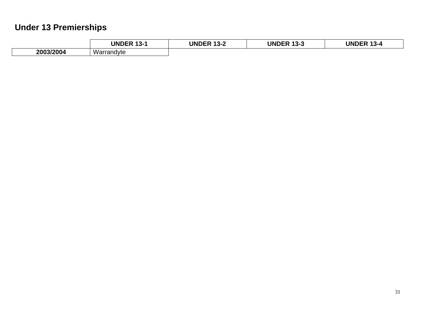### **Under 13 Premierships**

|           | <b>UNDER</b><br>$\overline{a}$<br>- د ا | <b>UNDER</b><br>10 O<br>∡-د ا | <b>UNDER</b><br>4 A A<br>155 | <b>UNDER</b><br>$\overline{a}$<br>- 3-4 |
|-----------|-----------------------------------------|-------------------------------|------------------------------|-----------------------------------------|
| 2003/2004 | Warrandyte                              |                               |                              |                                         |